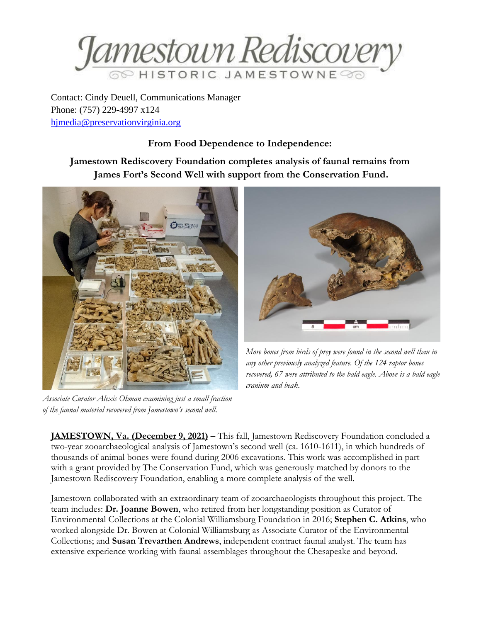

Contact: Cindy Deuell, Communications Manager Phone: (757) 229-4997 x124 [hjmedia@preservationvirginia.org](mailto:hjmedia@preservationvirginia.org)

## **From Food Dependence to Independence:**

## **Jamestown Rediscovery Foundation completes analysis of faunal remains from James Fort's Second Well with support from the Conservation Fund.**



*Associate Curator Alexis Ohman examining just a small fraction of the faunal material recovered from Jamestown's second well.* 



*More bones from birds of prey were found in the second well than in any other previously analyzed feature. Of the 124 raptor bones recovered, 67 were attributed to the bald eagle. Above is a bald eagle cranium and beak.*

**JAMESTOWN, Va. (December 9, 2021) –** This fall, Jamestown Rediscovery Foundation concluded a two-year zooarchaeological analysis of Jamestown's second well (ca. 1610-1611), in which hundreds of thousands of animal bones were found during 2006 excavations. This work was accomplished in part with a grant provided by The Conservation Fund, which was generously matched by donors to the Jamestown Rediscovery Foundation, enabling a more complete analysis of the well.

Jamestown collaborated with an extraordinary team of zooarchaeologists throughout this project. The team includes: **Dr. Joanne Bowen**, who retired from her longstanding position as Curator of Environmental Collections at the Colonial Williamsburg Foundation in 2016; **Stephen C. Atkins**, who worked alongside Dr. Bowen at Colonial Williamsburg as Associate Curator of the Environmental Collections; and **Susan Trevarthen Andrews**, independent contract faunal analyst. The team has extensive experience working with faunal assemblages throughout the Chesapeake and beyond.